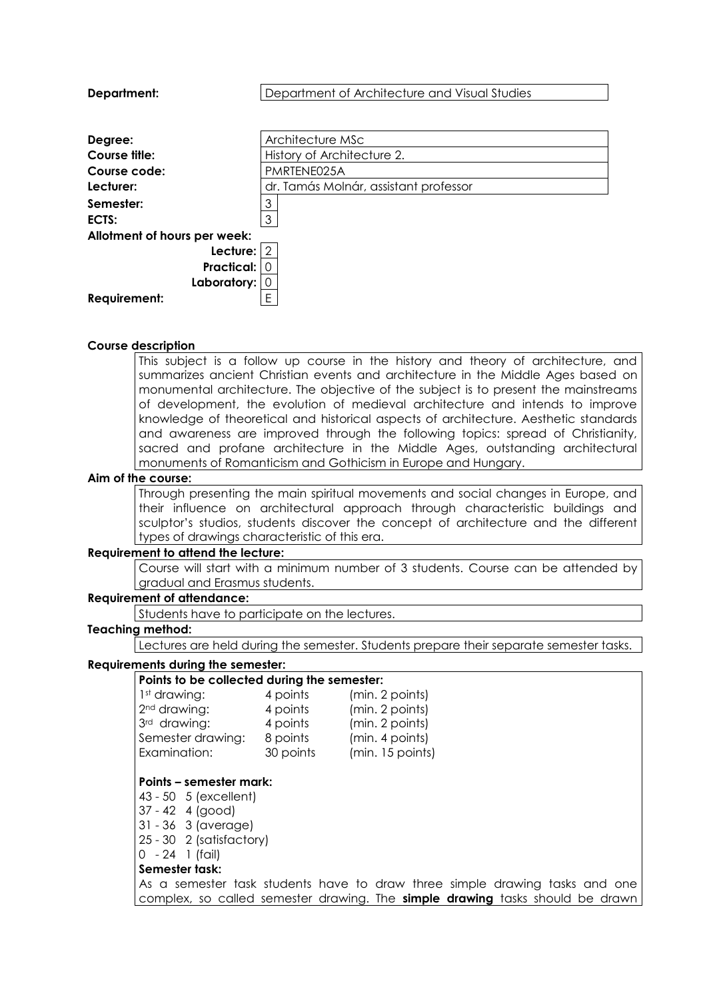| Department:                  | Department of Architecture and Visual Studies |  |  |  |
|------------------------------|-----------------------------------------------|--|--|--|
|                              |                                               |  |  |  |
| Degree:                      | Architecture MSc                              |  |  |  |
| Course title:                | History of Architecture 2.                    |  |  |  |
| Course code:                 | PMRTENE025A                                   |  |  |  |
| Lecturer:                    | dr. Tamás Molnár, assistant professor         |  |  |  |
| Semester:                    | 3                                             |  |  |  |
| ECTS:                        | 3                                             |  |  |  |
| Allotment of hours per week: |                                               |  |  |  |
| Lecture: $ 2$                |                                               |  |  |  |
| Practical:                   |                                               |  |  |  |
| Laboratory:                  |                                               |  |  |  |
| <b>Requirement:</b>          | E                                             |  |  |  |
|                              |                                               |  |  |  |

#### **Course description**

This subject is a follow up course in the history and theory of architecture, and summarizes ancient Christian events and architecture in the Middle Ages based on monumental architecture. The objective of the subject is to present the mainstreams of development, the evolution of medieval architecture and intends to improve knowledge of theoretical and historical aspects of architecture. Aesthetic standards and awareness are improved through the following topics: spread of Christianity, sacred and profane architecture in the Middle Ages, outstanding architectural monuments of Romanticism and Gothicism in Europe and Hungary.

#### **Aim of the course:**

Through presenting the main spiritual movements and social changes in Europe, and their influence on architectural approach through characteristic buildings and sculptor's studios, students discover the concept of architecture and the different types of drawings characteristic of this era.

#### **Requirement to attend the lecture:**

Course will start with a minimum number of 3 students. Course can be attended by gradual and Erasmus students.

## **Requirement of attendance:**

Students have to participate on the lectures.

#### **Teaching method:**

Lectures are held during the semester. Students prepare their separate semester tasks.

### **Requirements during the semester:**

| Points to be collected during the semester: |           |                  |  |  |
|---------------------------------------------|-----------|------------------|--|--|
| 1st drawing:                                | 4 points  | (min. 2 points)  |  |  |
| 2 <sup>nd</sup> drawing:                    | 4 points  | (min. 2 points)  |  |  |
| 3rd drawing:                                | 4 points  | (min. 2 points)  |  |  |
| Semester drawing:                           | 8 points  | (min. 4 points)  |  |  |
| Examination:                                | 30 points | (min. 15 points) |  |  |
|                                             |           |                  |  |  |

## **Points – semester mark:**

- 43 50 5 (excellent)
- 37 42 4 (good)
- 31 36 3 (average)
- 25 30 2 (satisfactory)

# 0 - 24 1 (fail)

## **Semester task:**

As a semester task students have to draw three simple drawing tasks and one complex, so called semester drawing. The **simple drawing** tasks should be drawn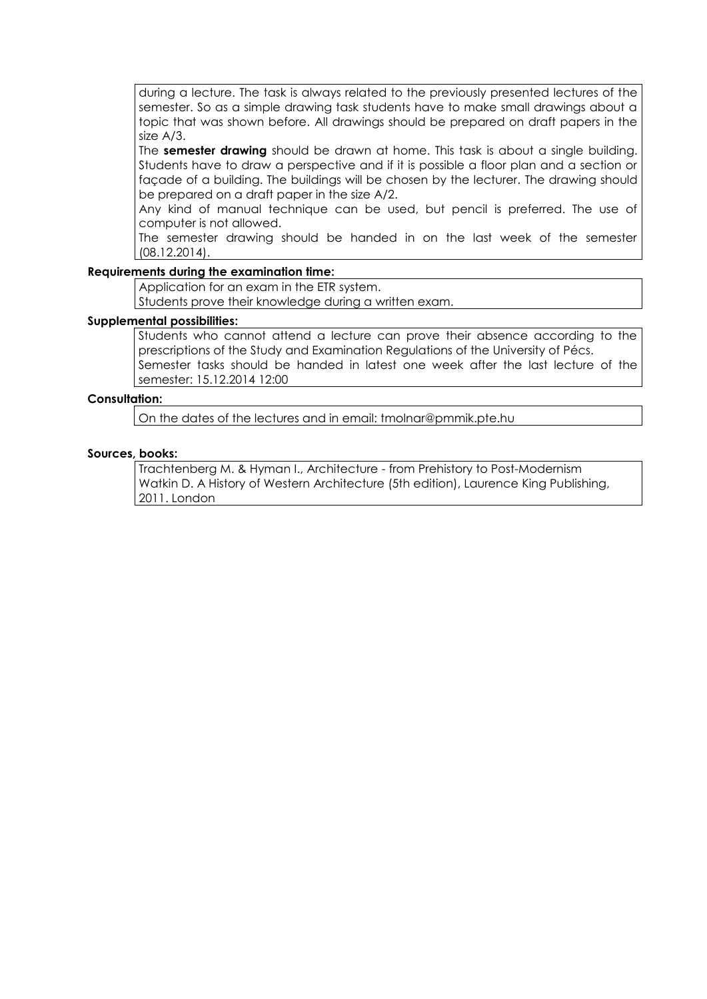during a lecture. The task is always related to the previously presented lectures of the semester. So as a simple drawing task students have to make small drawings about a topic that was shown before. All drawings should be prepared on draft papers in the size A/3.

The **semester drawing** should be drawn at home. This task is about a single building. Students have to draw a perspective and if it is possible a floor plan and a section or façade of a building. The buildings will be chosen by the lecturer. The drawing should be prepared on a draft paper in the size A/2.

Any kind of manual technique can be used, but pencil is preferred. The use of computer is not allowed.

The semester drawing should be handed in on the last week of the semester (08.12.2014).

## **Requirements during the examination time:**

Application for an exam in the ETR system.

Students prove their knowledge during a written exam.

#### **Supplemental possibilities:**

Students who cannot attend a lecture can prove their absence according to the prescriptions of the Study and Examination Regulations of the University of Pécs. Semester tasks should be handed in latest one week after the last lecture of the semester: 15.12.2014 12:00

## **Consultation:**

On the dates of the lectures and in email: tmolnar@pmmik.pte.hu

#### **Sources, books:**

Trachtenberg M. & Hyman I., Architecture - from Prehistory to Post-Modernism Watkin D. A History of Western Architecture (5th edition), Laurence King Publishing, 2011. London